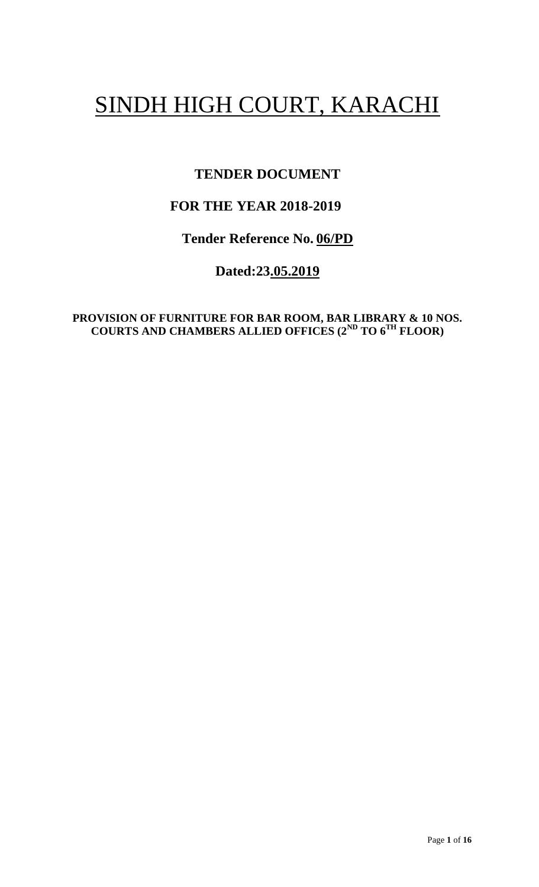# SINDH HIGH COURT, KARACHI

# **TENDER DOCUMENT**

# **FOR THE YEAR 2018-2019**

**Tender Reference No. 06/PD**

**Dated:23.05.2019**

**PROVISION OF FURNITURE FOR BAR ROOM, BAR LIBRARY & 10 NOS. COURTS AND CHAMBERS ALLIED OFFICES (2ND TO 6TH FLOOR)**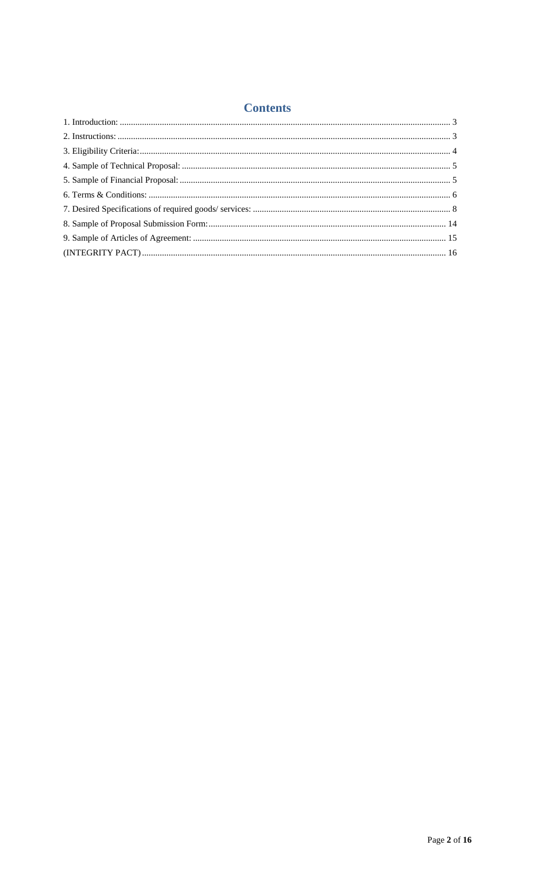# **Contents**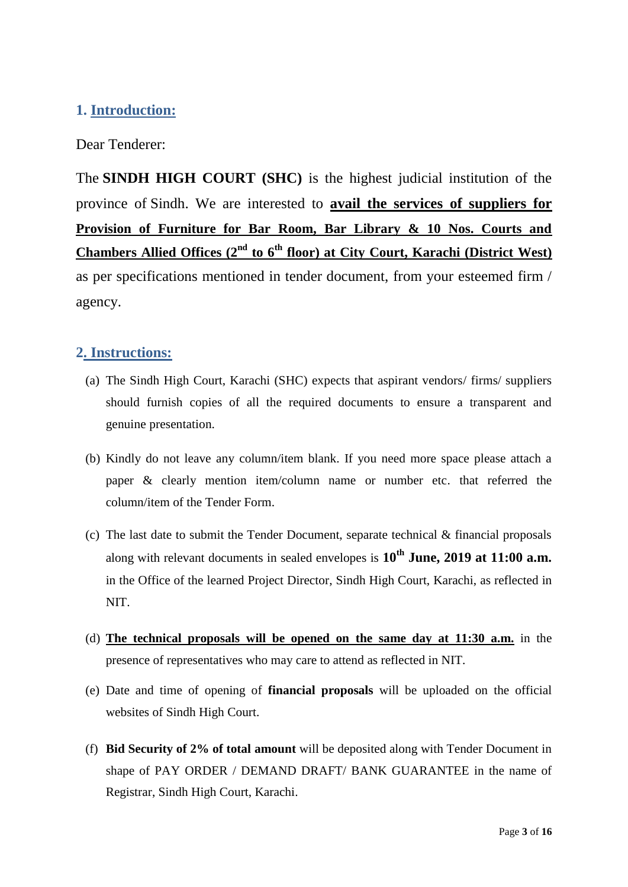# **1. Introduction:**

Dear Tenderer:

<span id="page-2-0"></span>The **SINDH HIGH COURT (SHC)** is the highest judicial institution of the province of [Sindh.](https://en.wikipedia.org/wiki/Sindh) We are interested to **avail the services of suppliers for Provision of Furniture for Bar Room, Bar Library & 10 Nos. Courts and Chambers Allied Offices (2nd to 6th floor) at City Court, Karachi (District West)** as per specifications mentioned in tender document, from your esteemed firm / agency.

## **2. Instructions:**

- (a) The Sindh High Court, Karachi (SHC) expects that aspirant vendors/ firms/ suppliers should furnish copies of all the required documents to ensure a transparent and genuine presentation.
- (b) Kindly do not leave any column/item blank. If you need more space please attach a paper & clearly mention item/column name or number etc. that referred the column/item of the Tender Form.
- <span id="page-2-1"></span>(c) The last date to submit the Tender Document, separate technical & financial proposals along with relevant documents in sealed envelopes is **10th June, 2019 at 11:00 a.m.** in the Office of the learned Project Director, Sindh High Court, Karachi, as reflected in NIT.
- (d) **The technical proposals will be opened on the same day at 11:30 a.m.** in the presence of representatives who may care to attend as reflected in NIT.
- (e) Date and time of opening of **financial proposals** will be uploaded on the official websites of Sindh High Court.
- (f) **Bid Security of 2% of total amount** will be deposited along with Tender Document in shape of PAY ORDER / DEMAND DRAFT/ BANK GUARANTEE in the name of Registrar, Sindh High Court, Karachi.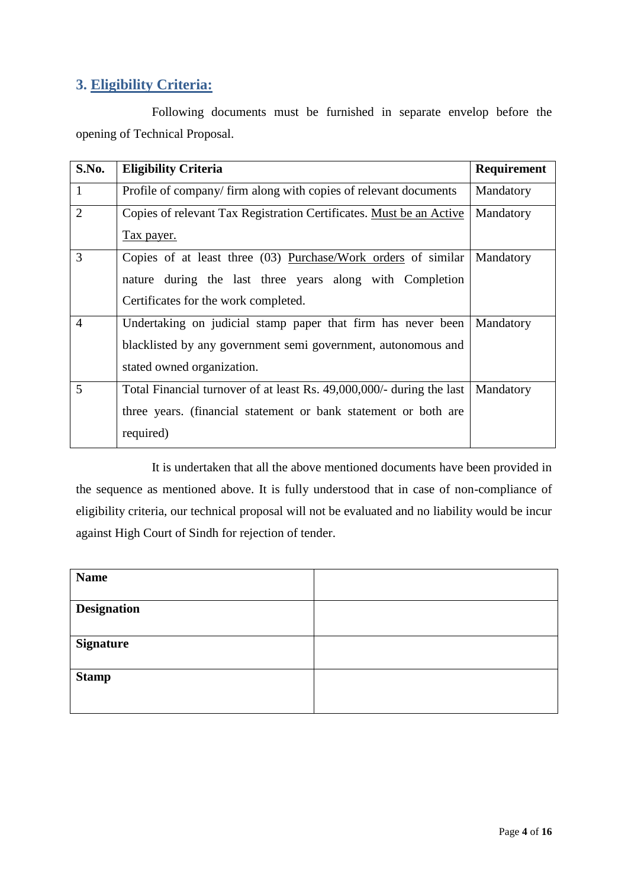# **3. Eligibility Criteria:**

Following documents must be furnished in separate envelop before the opening of Technical Proposal.

<span id="page-3-0"></span>

| S.No.          | <b>Eligibility Criteria</b>                                           | Requirement |
|----------------|-----------------------------------------------------------------------|-------------|
| $\mathbf{1}$   | Profile of company/firm along with copies of relevant documents       | Mandatory   |
| $\overline{2}$ | Copies of relevant Tax Registration Certificates. Must be an Active   | Mandatory   |
|                | <u>Tax payer.</u>                                                     |             |
| 3              | Copies of at least three (03) Purchase/Work orders of similar         | Mandatory   |
|                | nature during the last three years along with Completion              |             |
|                | Certificates for the work completed.                                  |             |
| $\overline{4}$ | Undertaking on judicial stamp paper that firm has never been          | Mandatory   |
|                | blacklisted by any government semi government, autonomous and         |             |
|                | stated owned organization.                                            |             |
| 5              | Total Financial turnover of at least Rs. 49,000,000/- during the last | Mandatory   |
|                | three years. (financial statement or bank statement or both are       |             |
|                | required)                                                             |             |

It is undertaken that all the above mentioned documents have been provided in the sequence as mentioned above. It is fully understood that in case of non-compliance of eligibility criteria, our technical proposal will not be evaluated and no liability would be incur against High Court of Sindh for rejection of tender.

| <b>Name</b>        |  |
|--------------------|--|
| <b>Designation</b> |  |
|                    |  |
| <b>Signature</b>   |  |
|                    |  |
| <b>Stamp</b>       |  |
|                    |  |
|                    |  |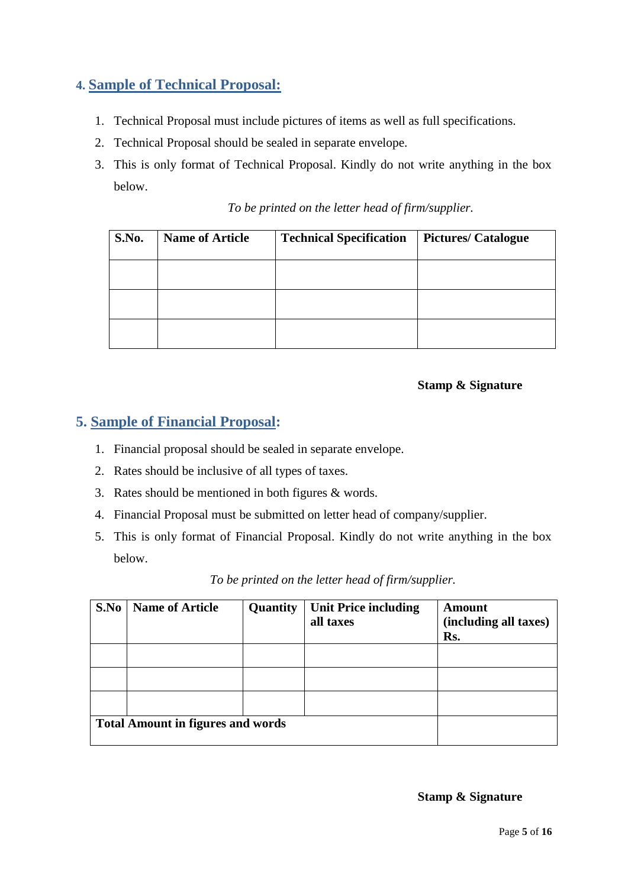# **4. Sample of Technical Proposal:**

- 1. Technical Proposal must include pictures of items as well as full specifications.
- 2. Technical Proposal should be sealed in separate envelope.
- 3. This is only format of Technical Proposal. Kindly do not write anything in the box below.

|  |  |  | To be printed on the letter head of firm/supplier. |
|--|--|--|----------------------------------------------------|

<span id="page-4-0"></span>

| S.No. | <b>Name of Article</b> | <b>Technical Specification</b> | <b>Pictures/Catalogue</b> |
|-------|------------------------|--------------------------------|---------------------------|
|       |                        |                                |                           |
|       |                        |                                |                           |
|       |                        |                                |                           |

#### **Stamp & Signature**

#### **5. Sample of Financial Proposal:**

- 1. Financial proposal should be sealed in separate envelope.
- 2. Rates should be inclusive of all types of taxes.
- 3. Rates should be mentioned in both figures & words.
- 4. Financial Proposal must be submitted on letter head of company/supplier.
- 5. This is only format of Financial Proposal. Kindly do not write anything in the box below.

<span id="page-4-1"></span>

| S.No | <b>Name of Article</b>                   | Quantity | <b>Unit Price including</b> | Amount                |
|------|------------------------------------------|----------|-----------------------------|-----------------------|
|      |                                          |          | all taxes                   | (including all taxes) |
|      |                                          |          |                             | Rs.                   |
|      |                                          |          |                             |                       |
|      |                                          |          |                             |                       |
|      |                                          |          |                             |                       |
|      | <b>Total Amount in figures and words</b> |          |                             |                       |

*To be printed on the letter head of firm/supplier.*

**Stamp & Signature**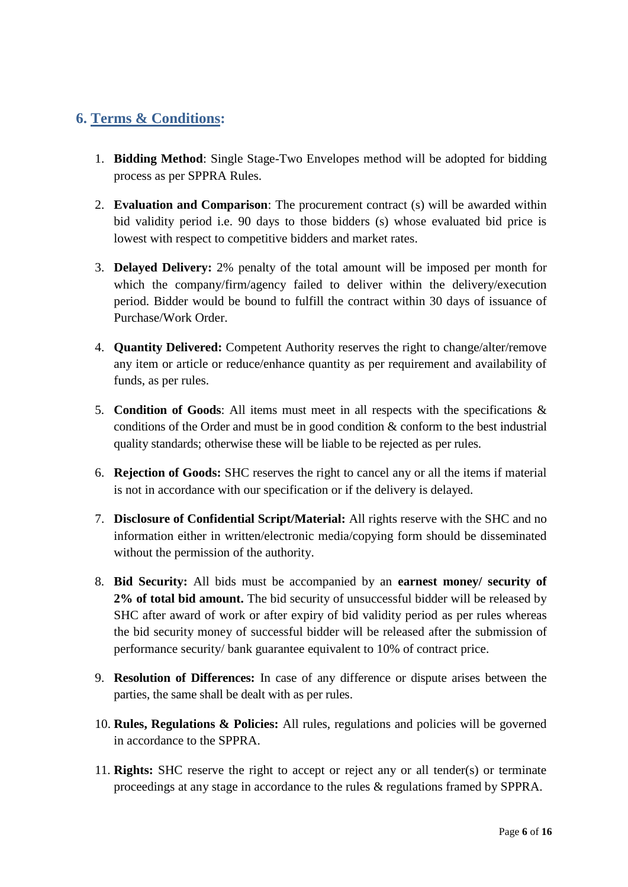# **6. Terms & Conditions:**

- 1. **Bidding Method**: Single Stage-Two Envelopes method will be adopted for bidding process as per SPPRA Rules.
- 2. **Evaluation and Comparison**: The procurement contract (s) will be awarded within bid validity period i.e. 90 days to those bidders (s) whose evaluated bid price is lowest with respect to competitive bidders and market rates.
- <span id="page-5-0"></span>3. **Delayed Delivery:** 2% penalty of the total amount will be imposed per month for which the company/firm/agency failed to deliver within the delivery/execution period. Bidder would be bound to fulfill the contract within 30 days of issuance of Purchase/Work Order.
- 4. **Quantity Delivered:** Competent Authority reserves the right to change/alter/remove any item or article or reduce/enhance quantity as per requirement and availability of funds, as per rules.
- 5. **Condition of Goods**: All items must meet in all respects with the specifications & conditions of the Order and must be in good condition & conform to the best industrial quality standards; otherwise these will be liable to be rejected as per rules.
- 6. **Rejection of Goods:** SHC reserves the right to cancel any or all the items if material is not in accordance with our specification or if the delivery is delayed.
- 7. **Disclosure of Confidential Script/Material:** All rights reserve with the SHC and no information either in written/electronic media/copying form should be disseminated without the permission of the authority.
- 8. **Bid Security:** All bids must be accompanied by an **earnest money/ security of 2% of total bid amount.** The bid security of unsuccessful bidder will be released by SHC after award of work or after expiry of bid validity period as per rules whereas the bid security money of successful bidder will be released after the submission of performance security/ bank guarantee equivalent to 10% of contract price.
- 9. **Resolution of Differences:** In case of any difference or dispute arises between the parties, the same shall be dealt with as per rules.
- 10. **Rules, Regulations & Policies:** All rules, regulations and policies will be governed in accordance to the SPPRA.
- 11. **Rights:** SHC reserve the right to accept or reject any or all tender(s) or terminate proceedings at any stage in accordance to the rules & regulations framed by SPPRA.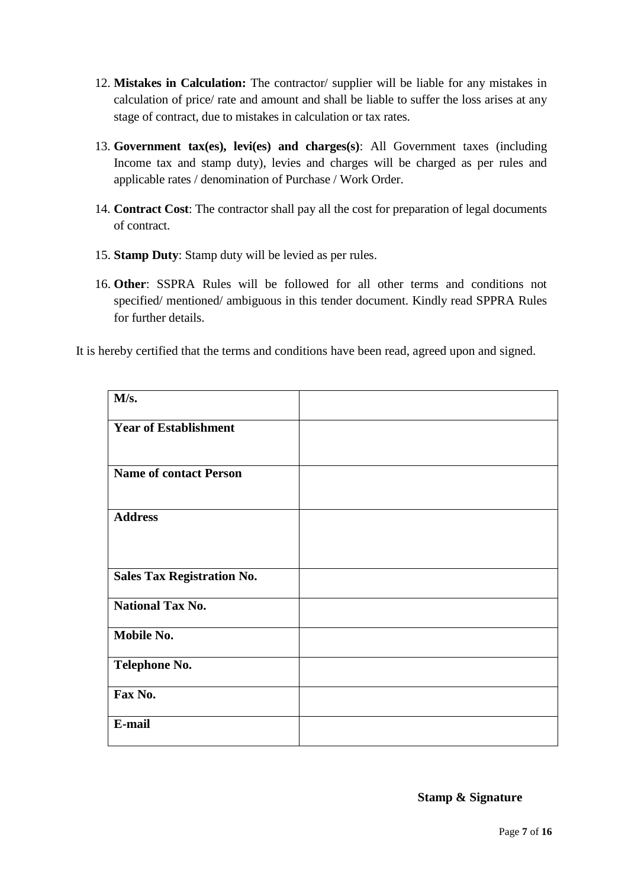- 12. **Mistakes in Calculation:** The contractor/ supplier will be liable for any mistakes in calculation of price/ rate and amount and shall be liable to suffer the loss arises at any stage of contract, due to mistakes in calculation or tax rates.
- 13. **Government tax(es), levi(es) and charges(s)**: All Government taxes (including Income tax and stamp duty), levies and charges will be charged as per rules and applicable rates / denomination of Purchase / Work Order.
- 14. **Contract Cost**: The contractor shall pay all the cost for preparation of legal documents of contract.
- 15. **Stamp Duty**: Stamp duty will be levied as per rules.
- 16. **Other**: SSPRA Rules will be followed for all other terms and conditions not specified/ mentioned/ ambiguous in this tender document. Kindly read SPPRA Rules for further details.

It is hereby certified that the terms and conditions have been read, agreed upon and signed.

| M/s.                              |  |
|-----------------------------------|--|
| <b>Year of Establishment</b>      |  |
| <b>Name of contact Person</b>     |  |
| <b>Address</b>                    |  |
| <b>Sales Tax Registration No.</b> |  |
| <b>National Tax No.</b>           |  |
| Mobile No.                        |  |
| <b>Telephone No.</b>              |  |
| Fax No.                           |  |
| E-mail                            |  |

**Stamp & Signature**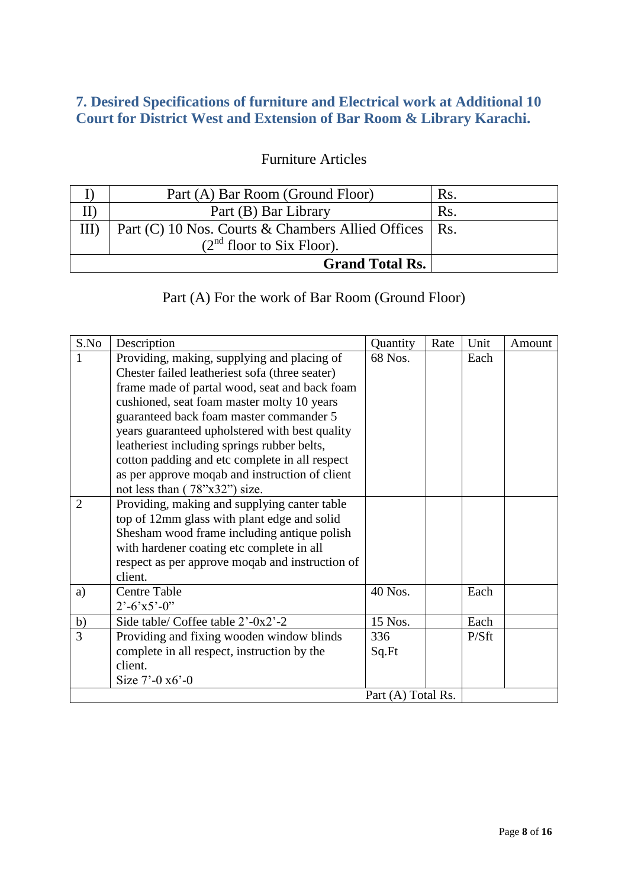# **7. Desired Specifications of furniture and Electrical work at Additional 10 Court for District West and Extension of Bar Room & Library Karachi.**

# Furniture Articles

| Part (A) Bar Room (Ground Floor)                        | $\rm Rs$ |
|---------------------------------------------------------|----------|
| Part (B) Bar Library                                    | Rs.      |
| Part (C) 10 Nos. Courts & Chambers Allied Offices   Rs. |          |
| $(2nd$ floor to Six Floor).                             |          |
| <b>Grand Total Rs.</b>                                  |          |

# Part (A) For the work of Bar Room (Ground Floor)

<span id="page-7-0"></span>

| S.No           | Description                                     | Quantity           | Rate | Unit  | Amount |
|----------------|-------------------------------------------------|--------------------|------|-------|--------|
| 1              | Providing, making, supplying and placing of     | 68 Nos.            |      | Each  |        |
|                | Chester failed leatheriest sofa (three seater)  |                    |      |       |        |
|                | frame made of partal wood, seat and back foam   |                    |      |       |        |
|                | cushioned, seat foam master molty 10 years      |                    |      |       |        |
|                | guaranteed back foam master commander 5         |                    |      |       |        |
|                | years guaranteed upholstered with best quality  |                    |      |       |        |
|                | leatheriest including springs rubber belts,     |                    |      |       |        |
|                | cotton padding and etc complete in all respect  |                    |      |       |        |
|                | as per approve moqab and instruction of client  |                    |      |       |        |
|                | not less than $(78"x32")$ size.                 |                    |      |       |        |
| $\overline{2}$ | Providing, making and supplying canter table    |                    |      |       |        |
|                | top of 12mm glass with plant edge and solid     |                    |      |       |        |
|                | Shesham wood frame including antique polish     |                    |      |       |        |
|                | with hardener coating etc complete in all       |                    |      |       |        |
|                | respect as per approve moqab and instruction of |                    |      |       |        |
|                | client.                                         |                    |      |       |        |
| a)             | <b>Centre Table</b>                             | 40 Nos.            |      | Each  |        |
|                | $2^{\degree}$ -6'x5'-0"                         |                    |      |       |        |
| b)             | Side table/ Coffee table 2'-0x2'-2              | 15 Nos.            |      | Each  |        |
| 3              | Providing and fixing wooden window blinds       | 336                |      | P/Sft |        |
|                | complete in all respect, instruction by the     | Sq.Ft              |      |       |        |
|                | client.                                         |                    |      |       |        |
|                | Size $7'$ -0 $x6'$ -0                           |                    |      |       |        |
|                |                                                 | Part (A) Total Rs. |      |       |        |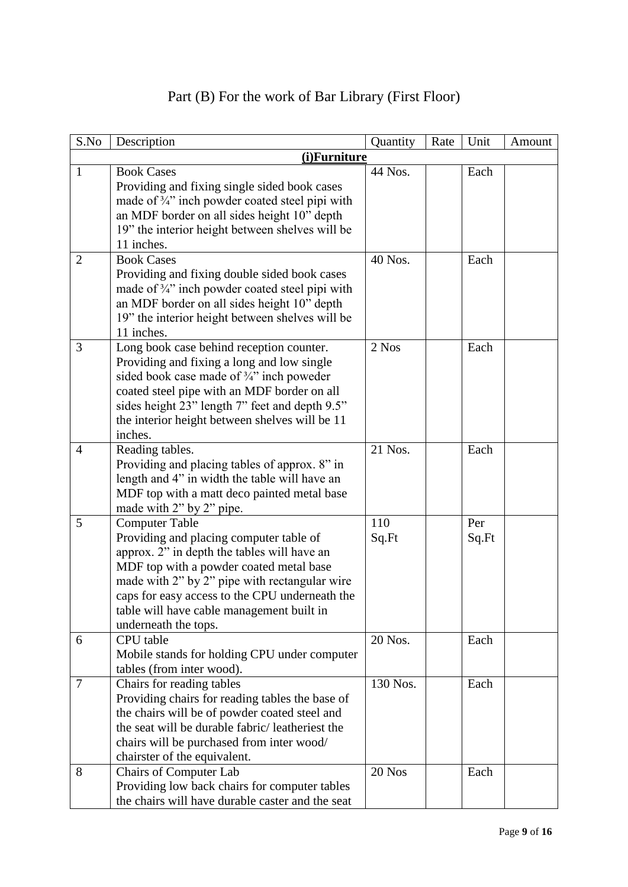| S.No           | Description                                                                                                                                                                                                                                                                                                                        | Quantity     | Rate | Unit         | Amount |
|----------------|------------------------------------------------------------------------------------------------------------------------------------------------------------------------------------------------------------------------------------------------------------------------------------------------------------------------------------|--------------|------|--------------|--------|
|                | (i)Furniture                                                                                                                                                                                                                                                                                                                       |              |      |              |        |
| $\mathbf{1}$   | <b>Book Cases</b><br>Providing and fixing single sided book cases<br>made of 3/4" inch powder coated steel pipi with<br>an MDF border on all sides height 10" depth<br>19" the interior height between shelves will be<br>11 inches.                                                                                               | 44 Nos.      |      | Each         |        |
| $\overline{2}$ | <b>Book Cases</b><br>Providing and fixing double sided book cases<br>made of 3/4" inch powder coated steel pipi with<br>an MDF border on all sides height 10" depth<br>19" the interior height between shelves will be<br>11 inches.                                                                                               | 40 Nos.      |      | Each         |        |
| 3              | Long book case behind reception counter.<br>Providing and fixing a long and low single<br>sided book case made of $\frac{3}{4}$ " inch poweder<br>coated steel pipe with an MDF border on all<br>sides height 23" length 7" feet and depth 9.5"<br>the interior height between shelves will be 11<br>inches.                       | 2 Nos        |      | Each         |        |
| $\overline{4}$ | Reading tables.<br>Providing and placing tables of approx. 8" in<br>length and 4" in width the table will have an<br>MDF top with a matt deco painted metal base<br>made with 2" by 2" pipe.                                                                                                                                       | 21 Nos.      |      | Each         |        |
| 5              | <b>Computer Table</b><br>Providing and placing computer table of<br>approx. 2" in depth the tables will have an<br>MDF top with a powder coated metal base<br>made with 2" by 2" pipe with rectangular wire<br>caps for easy access to the CPU underneath the<br>table will have cable management built in<br>underneath the tops. | 110<br>Sq.Ft |      | Per<br>Sq.Ft |        |
| 6              | CPU table<br>Mobile stands for holding CPU under computer<br>tables (from inter wood).                                                                                                                                                                                                                                             | 20 Nos.      |      | Each         |        |
| 7              | Chairs for reading tables<br>Providing chairs for reading tables the base of<br>the chairs will be of powder coated steel and<br>the seat will be durable fabric/leatheriest the<br>chairs will be purchased from inter wood/<br>chairster of the equivalent.                                                                      | 130 Nos.     |      | Each         |        |
| 8              | <b>Chairs of Computer Lab</b><br>Providing low back chairs for computer tables<br>the chairs will have durable caster and the seat                                                                                                                                                                                                 | 20 Nos       |      | Each         |        |

# Part (B) For the work of Bar Library (First Floor)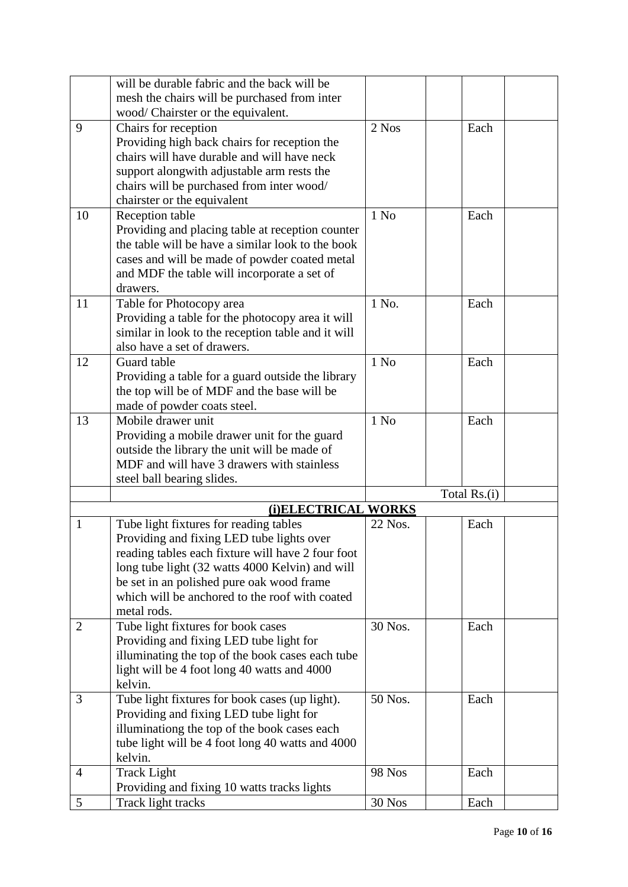|                | will be durable fabric and the back will be        |               |              |
|----------------|----------------------------------------------------|---------------|--------------|
|                | mesh the chairs will be purchased from inter       |               |              |
|                | wood/ Chairster or the equivalent.                 |               |              |
| 9              | Chairs for reception                               | 2 Nos         | Each         |
|                | Providing high back chairs for reception the       |               |              |
|                | chairs will have durable and will have neck        |               |              |
|                | support alongwith adjustable arm rests the         |               |              |
|                | chairs will be purchased from inter wood/          |               |              |
|                | chairster or the equivalent                        |               |              |
| 10             | Reception table                                    | $1$ No        | Each         |
|                | Providing and placing table at reception counter   |               |              |
|                | the table will be have a similar look to the book  |               |              |
|                | cases and will be made of powder coated metal      |               |              |
|                | and MDF the table will incorporate a set of        |               |              |
|                | drawers.                                           |               |              |
| 11             | Table for Photocopy area                           | 1 No.         | Each         |
|                | Providing a table for the photocopy area it will   |               |              |
|                | similar in look to the reception table and it will |               |              |
|                | also have a set of drawers.                        |               |              |
| 12             | Guard table                                        | $1$ No        | Each         |
|                | Providing a table for a guard outside the library  |               |              |
|                | the top will be of MDF and the base will be        |               |              |
|                | made of powder coats steel.                        |               |              |
| 13             | Mobile drawer unit                                 | $1$ No        | Each         |
|                | Providing a mobile drawer unit for the guard       |               |              |
|                | outside the library the unit will be made of       |               |              |
|                | MDF and will have 3 drawers with stainless         |               |              |
|                | steel ball bearing slides.                         |               |              |
|                |                                                    |               | Total Rs.(i) |
|                | (i)ELECTRICAL WORKS                                |               |              |
| 1              | Tube light fixtures for reading tables             | 22 Nos.       | Each         |
|                | Providing and fixing LED tube lights over          |               |              |
|                | reading tables each fixture will have 2 four foot  |               |              |
|                | long tube light (32 watts 4000 Kelvin) and will    |               |              |
|                | be set in an polished pure oak wood frame          |               |              |
|                | which will be anchored to the roof with coated     |               |              |
|                | metal rods.                                        |               |              |
| $\overline{2}$ | Tube light fixtures for book cases                 | 30 Nos.       | Each         |
|                | Providing and fixing LED tube light for            |               |              |
|                | illuminating the top of the book cases each tube   |               |              |
|                | light will be 4 foot long 40 watts and 4000        |               |              |
|                | kelvin.                                            |               |              |
| 3              | Tube light fixtures for book cases (up light).     | 50 Nos.       | Each         |
|                | Providing and fixing LED tube light for            |               |              |
|                | illuminationg the top of the book cases each       |               |              |
|                | tube light will be 4 foot long 40 watts and 4000   |               |              |
|                | kelvin.                                            |               |              |
| $\overline{4}$ | <b>Track Light</b>                                 | <b>98 Nos</b> | Each         |
|                | Providing and fixing 10 watts tracks lights        |               |              |
| 5              | Track light tracks                                 | 30 Nos        | Each         |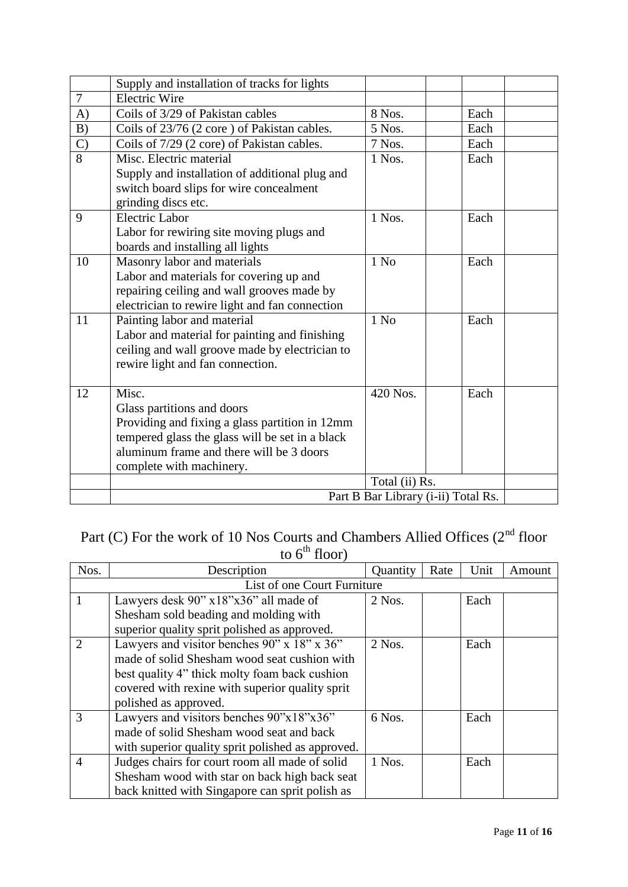|                | Supply and installation of tracks for lights                                                |                |      |  |
|----------------|---------------------------------------------------------------------------------------------|----------------|------|--|
| $\overline{7}$ | <b>Electric Wire</b>                                                                        |                |      |  |
| A)             | Coils of 3/29 of Pakistan cables                                                            | 8 Nos.         | Each |  |
| B)             | Coils of 23/76 (2 core) of Pakistan cables.                                                 | 5 Nos.         | Each |  |
| $\mathcal{C}$  | Coils of 7/29 (2 core) of Pakistan cables.                                                  | 7 Nos.         | Each |  |
| $\overline{8}$ | Misc. Electric material                                                                     | 1 Nos.         | Each |  |
|                | Supply and installation of additional plug and                                              |                |      |  |
|                | switch board slips for wire concealment                                                     |                |      |  |
|                | grinding discs etc.                                                                         |                |      |  |
| 9              | Electric Labor                                                                              | 1 Nos.         | Each |  |
|                | Labor for rewiring site moving plugs and                                                    |                |      |  |
|                | boards and installing all lights                                                            |                |      |  |
| 10             | Masonry labor and materials                                                                 | $1$ No         | Each |  |
|                | Labor and materials for covering up and                                                     |                |      |  |
|                | repairing ceiling and wall grooves made by                                                  |                |      |  |
|                | electrician to rewire light and fan connection                                              |                |      |  |
| 11             | Painting labor and material                                                                 | $1$ No         | Each |  |
|                | Labor and material for painting and finishing                                               |                |      |  |
|                | ceiling and wall groove made by electrician to                                              |                |      |  |
|                | rewire light and fan connection.                                                            |                |      |  |
|                |                                                                                             |                |      |  |
| 12             | Misc.                                                                                       | 420 Nos.       | Each |  |
|                | Glass partitions and doors                                                                  |                |      |  |
|                | Providing and fixing a glass partition in 12mm                                              |                |      |  |
|                | tempered glass the glass will be set in a black<br>aluminum frame and there will be 3 doors |                |      |  |
|                |                                                                                             |                |      |  |
|                | complete with machinery.                                                                    |                |      |  |
|                |                                                                                             | Total (ii) Rs. |      |  |
|                | Part B Bar Library (i-ii) Total Rs.                                                         |                |      |  |

# Part (C) For the work of 10 Nos Courts and Chambers Allied Offices  $(2^{nd}$  floor to  $6^{\text{th}}$  floor)

| Nos.                        | Description                                       | Quantity | Rate | Unit | Amount |  |  |
|-----------------------------|---------------------------------------------------|----------|------|------|--------|--|--|
| List of one Court Furniture |                                                   |          |      |      |        |  |  |
|                             | Lawyers desk 90" x18"x36" all made of             | $2$ Nos. |      | Each |        |  |  |
|                             | Shesham sold beading and molding with             |          |      |      |        |  |  |
|                             | superior quality sprit polished as approved.      |          |      |      |        |  |  |
| $\overline{2}$              | Lawyers and visitor benches 90" x 18" x 36"       | $2$ Nos. |      | Each |        |  |  |
|                             | made of solid Shesham wood seat cushion with      |          |      |      |        |  |  |
|                             | best quality 4" thick molty foam back cushion     |          |      |      |        |  |  |
|                             | covered with rexine with superior quality sprit   |          |      |      |        |  |  |
|                             | polished as approved.                             |          |      |      |        |  |  |
| 3                           | Lawyers and visitors benches 90"x18"x36"          | 6 Nos.   |      | Each |        |  |  |
|                             | made of solid Shesham wood seat and back          |          |      |      |        |  |  |
|                             | with superior quality sprit polished as approved. |          |      |      |        |  |  |
| $\overline{4}$              | Judges chairs for court room all made of solid    | 1 Nos.   |      | Each |        |  |  |
|                             | Shesham wood with star on back high back seat     |          |      |      |        |  |  |
|                             | back knitted with Singapore can sprit polish as   |          |      |      |        |  |  |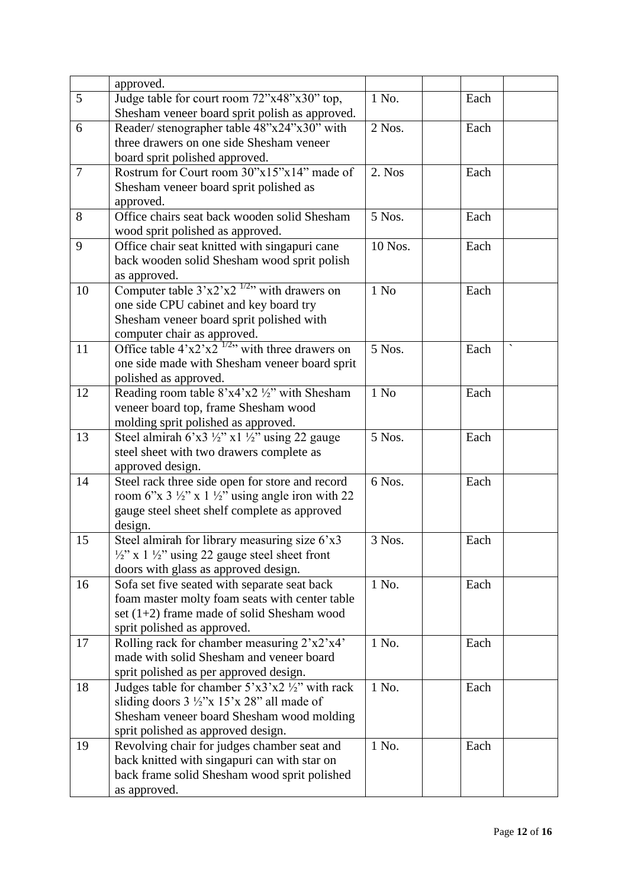|        | approved.                                                                                      |         |      |  |
|--------|------------------------------------------------------------------------------------------------|---------|------|--|
| 5      | Judge table for court room 72"x48"x30" top,                                                    | 1 No.   | Each |  |
|        | Shesham veneer board sprit polish as approved.                                                 |         |      |  |
| 6      | Reader/stenographer table 48"x24"x30" with                                                     | 2 Nos.  | Each |  |
|        | three drawers on one side Shesham veneer                                                       |         |      |  |
|        | board sprit polished approved.                                                                 |         |      |  |
| $\tau$ | Rostrum for Court room 30"x15"x14" made of                                                     | 2. Nos  | Each |  |
|        | Shesham veneer board sprit polished as                                                         |         |      |  |
|        | approved.                                                                                      |         |      |  |
| 8      | Office chairs seat back wooden solid Shesham                                                   | 5 Nos.  | Each |  |
|        | wood sprit polished as approved.                                                               |         |      |  |
| 9      | Office chair seat knitted with singapuri cane                                                  | 10 Nos. | Each |  |
|        | back wooden solid Shesham wood sprit polish                                                    |         |      |  |
|        | as approved.                                                                                   |         |      |  |
| 10     | Computer table $3'x2'x2'x''$ with drawers on                                                   | $1$ No  | Each |  |
|        | one side CPU cabinet and key board try                                                         |         |      |  |
|        | Shesham veneer board sprit polished with                                                       |         |      |  |
|        | computer chair as approved.                                                                    |         |      |  |
| 11     | Office table $4'x2'x2'x''$ with three drawers on                                               | 5 Nos.  | Each |  |
|        | one side made with Shesham veneer board sprit                                                  |         |      |  |
|        | polished as approved.                                                                          |         |      |  |
| 12     | Reading room table $8'x4'x2'2'$ with Shesham                                                   | $1$ No  | Each |  |
|        | veneer board top, frame Shesham wood                                                           |         |      |  |
|        | molding sprit polished as approved.                                                            |         |      |  |
| 13     | Steel almirah 6'x3 $\frac{1}{2}$ " x1 $\frac{1}{2}$ " using 22 gauge                           | 5 Nos.  | Each |  |
|        | steel sheet with two drawers complete as                                                       |         |      |  |
|        | approved design.                                                                               |         |      |  |
| 14     | Steel rack three side open for store and record                                                | 6 Nos.  | Each |  |
|        | room 6"x $3\frac{1}{2}$ " x $1\frac{1}{2}$ " using angle iron with 22                          |         |      |  |
|        | gauge steel sheet shelf complete as approved                                                   |         |      |  |
|        | design.                                                                                        |         |      |  |
| 15     | Steel almirah for library measuring size 6'x3                                                  | 3 Nos.  | Each |  |
|        | $\frac{1}{2}$ " x 1 $\frac{1}{2}$ " using 22 gauge steel sheet front                           |         |      |  |
|        | doors with glass as approved design.                                                           |         |      |  |
| 16     | Sofa set five seated with separate seat back                                                   | 1 No.   | Each |  |
|        | foam master molty foam seats with center table<br>set $(1+2)$ frame made of solid Shesham wood |         |      |  |
|        | sprit polished as approved.                                                                    |         |      |  |
| 17     | Rolling rack for chamber measuring 2'x2'x4'                                                    | 1 No.   | Each |  |
|        | made with solid Shesham and veneer board                                                       |         |      |  |
|        | sprit polished as per approved design.                                                         |         |      |  |
| 18     | Judges table for chamber $5'x3'x2'2''$ with rack                                               | 1 No.   | Each |  |
|        | sliding doors $3\frac{1}{2}$ "x 15'x 28" all made of                                           |         |      |  |
|        | Shesham veneer board Shesham wood molding                                                      |         |      |  |
|        | sprit polished as approved design.                                                             |         |      |  |
| 19     | Revolving chair for judges chamber seat and                                                    | 1 No.   | Each |  |
|        | back knitted with singapuri can with star on                                                   |         |      |  |
|        | back frame solid Shesham wood sprit polished                                                   |         |      |  |
|        | as approved.                                                                                   |         |      |  |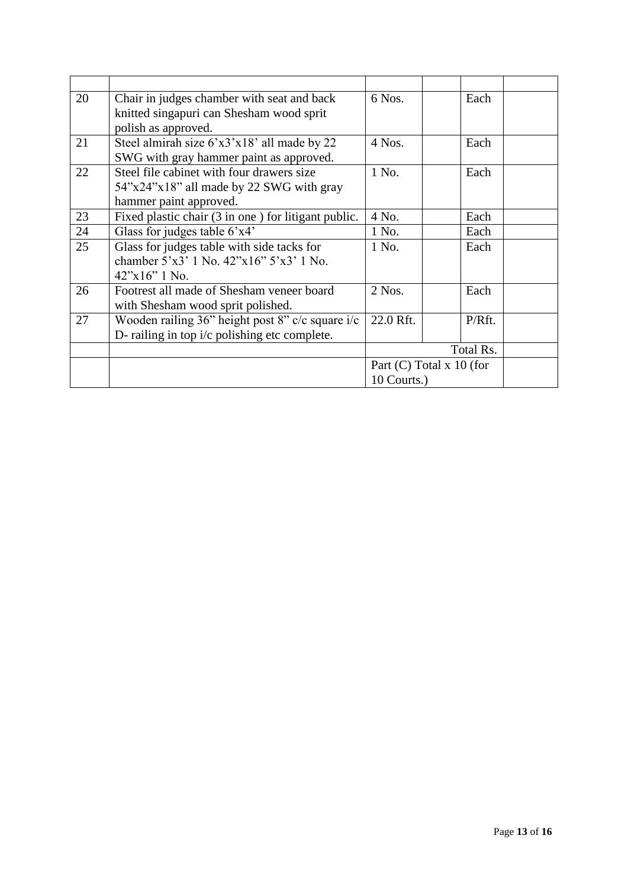| 20 | Chair in judges chamber with seat and back          | 6 Nos.                     | Each   |  |
|----|-----------------------------------------------------|----------------------------|--------|--|
|    | knitted singapuri can Shesham wood sprit            |                            |        |  |
|    | polish as approved.                                 |                            |        |  |
| 21 | Steel almirah size 6'x3'x18' all made by 22         | $4$ Nos.                   | Each   |  |
|    | SWG with gray hammer paint as approved.             |                            |        |  |
| 22 | Steel file cabinet with four drawers size           | 1 No.                      | Each   |  |
|    | 54"x24"x18" all made by 22 SWG with gray            |                            |        |  |
|    | hammer paint approved.                              |                            |        |  |
| 23 | Fixed plastic chair (3 in one) for litigant public. | 4 No.                      | Each   |  |
| 24 | Glass for judges table 6'x4'                        | 1 No.                      | Each   |  |
| 25 | Glass for judges table with side tacks for          | 1 No.                      | Each   |  |
|    | chamber $5'x3'$ 1 No. $42''x16''5'x3'$ 1 No.        |                            |        |  |
|    | $42^{\prime\prime} \times 16^{\prime\prime}$ 1 No.  |                            |        |  |
| 26 | Footrest all made of Shesham veneer board           | $2$ Nos.                   | Each   |  |
|    | with Shesham wood sprit polished.                   |                            |        |  |
| 27 | Wooden railing 36" height post 8" c/c square i/c    | 22.0 Rft.                  | P/Rft. |  |
|    | D- railing in top i/c polishing etc complete.       |                            |        |  |
|    |                                                     | Total Rs.                  |        |  |
|    |                                                     | Part $(C)$ Total x 10 (for |        |  |
|    |                                                     | 10 Courts.)                |        |  |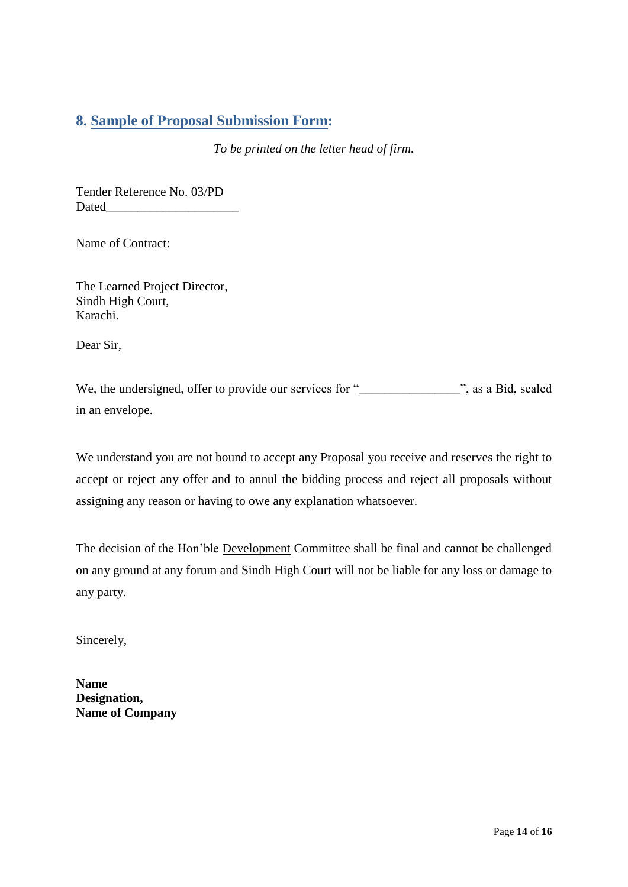## **8. Sample of Proposal Submission Form:**

*To be printed on the letter head of firm.*

Tender Reference No. 03/PD Dated\_\_\_\_\_\_\_\_\_\_\_\_\_\_\_\_\_\_\_\_\_

Name of Contract:

<span id="page-13-0"></span>The Learned Project Director, Sindh High Court, Karachi.

Dear Sir,

We, the undersigned, offer to provide our services for "\_\_\_\_\_\_\_\_\_\_\_\_\_\_\_\_\_\_\_\_\_\_\_\_, as a Bid, sealed in an envelope.

We understand you are not bound to accept any Proposal you receive and reserves the right to accept or reject any offer and to annul the bidding process and reject all proposals without assigning any reason or having to owe any explanation whatsoever.

The decision of the Hon"ble Development Committee shall be final and cannot be challenged on any ground at any forum and Sindh High Court will not be liable for any loss or damage to any party.

Sincerely,

**Name Designation, Name of Company**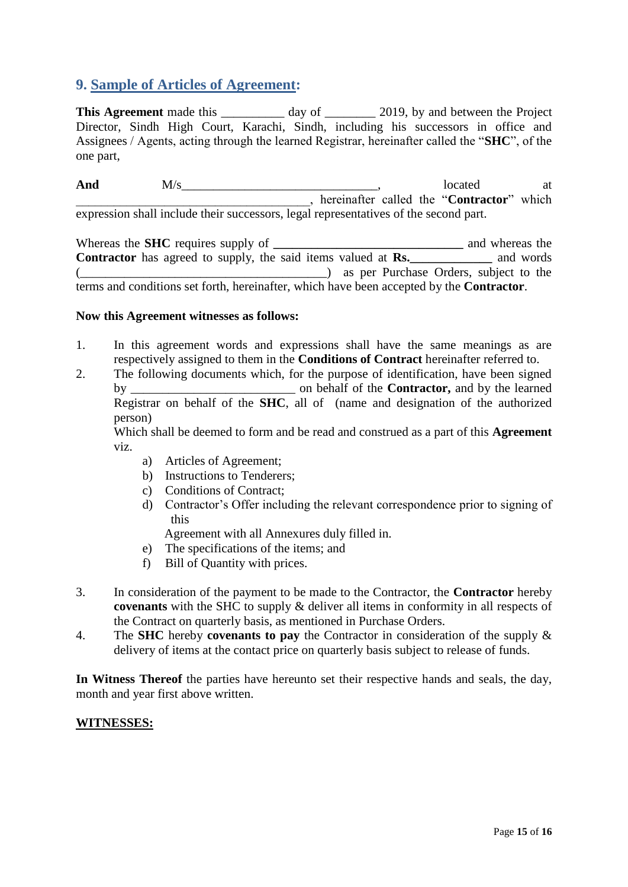# **9. Sample of Articles of Agreement:**

**This Agreement** made this \_\_\_\_\_\_\_\_\_ day of \_\_\_\_\_\_\_\_ 2019, by and between the Project Director, Sindh High Court, Karachi, Sindh, including his successors in office and Assignees / Agents, acting through the learned Registrar, hereinafter called the "**SHC**", of the one part,

And M/s <u>\_\_\_\_\_\_\_\_\_\_\_\_\_\_\_\_\_\_</u>, located at \_\_\_\_\_\_\_\_\_\_\_\_\_\_\_\_\_\_\_\_\_\_\_\_\_\_\_\_\_\_\_\_\_\_\_\_\_, hereinafter called the "**Contractor**" which expression shall include their successors, legal representatives of the second part.

<span id="page-14-0"></span>Whereas the **SHC** requires supply of **\_\_\_\_\_\_\_\_\_\_\_\_\_\_\_\_\_\_\_\_\_\_\_\_\_\_\_** and whereas the Contractor has agreed to supply, the said items valued at **Rs.**\_\_\_\_\_\_\_\_\_ and words (\_\_\_\_\_\_\_\_\_\_\_\_\_\_\_\_\_\_\_\_\_\_\_\_\_\_\_\_\_\_\_\_\_\_\_\_\_\_\_) as per Purchase Orders, subject to the terms and conditions set forth, hereinafter, which have been accepted by the **Contractor**.

#### **Now this Agreement witnesses as follows:**

- 1. In this agreement words and expressions shall have the same meanings as are respectively assigned to them in the **Conditions of Contract** hereinafter referred to.
- 2. The following documents which, for the purpose of identification, have been signed by \_\_\_\_\_\_\_\_\_\_\_\_\_\_\_\_\_\_\_\_\_\_\_\_\_\_ on behalf of the **Contractor,** and by the learned Registrar on behalf of the **SHC**, all of (name and designation of the authorized person)

Which shall be deemed to form and be read and construed as a part of this **Agreement**  viz.

- a) Articles of Agreement;
- b) Instructions to Tenderers;
- c) Conditions of Contract;
- d) Contractor"s Offer including the relevant correspondence prior to signing of this

Agreement with all Annexures duly filled in.

- e) The specifications of the items; and
- f) Bill of Quantity with prices.
- 3. In consideration of the payment to be made to the Contractor, the **Contractor** hereby **covenants** with the SHC to supply & deliver all items in conformity in all respects of the Contract on quarterly basis, as mentioned in Purchase Orders.
- 4. The **SHC** hereby **covenants to pay** the Contractor in consideration of the supply & delivery of items at the contact price on quarterly basis subject to release of funds.

**In Witness Thereof** the parties have hereunto set their respective hands and seals, the day, month and year first above written.

#### **WITNESSES:**